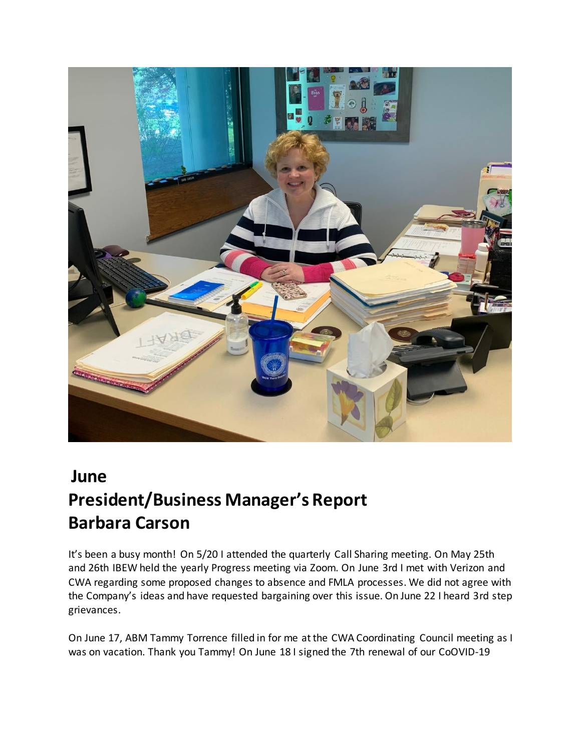

## **June President/Business Manager's Report Barbara Carson**

It's been a busy month! On 5/20 I attended the quarterly Call Sharing meeting. On May 25th and 26th IBEW held the yearly Progress meeting via Zoom. On June 3rd I met with Verizon and CWA regarding some proposed changes to absence and FMLA processes. We did not agree with the Company's ideas and have requested bargaining over this issue. On June 22 I heard 3rd step grievances.

On June 17, ABM Tammy Torrence filled in for me at the CWA Coordinating Council meeting as I was on vacation. Thank you Tammy! On June 18 I signed the 7th renewal of our CoOVID-19